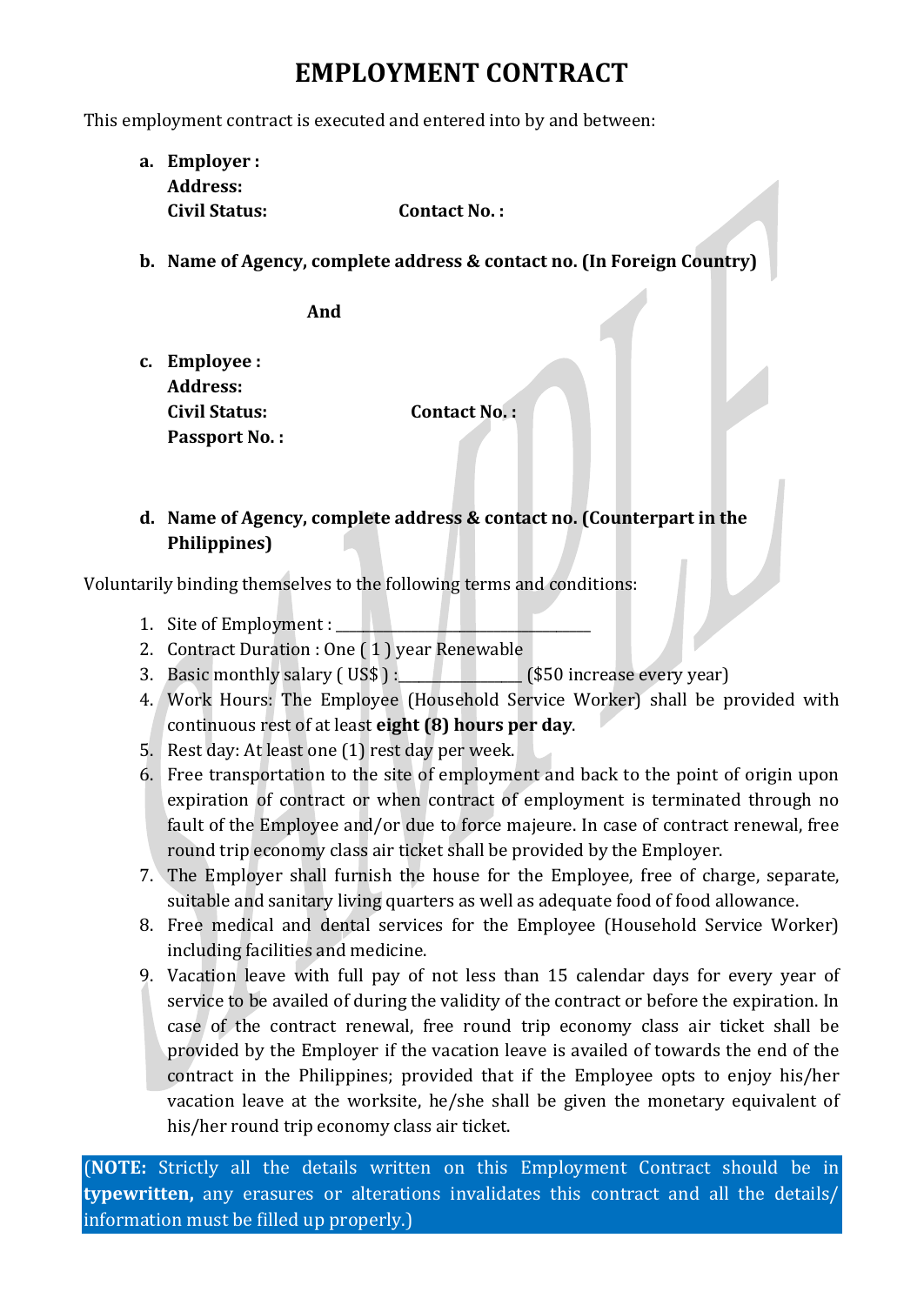## **EMPLOYMENT CONTRACT**

This employment contract is executed and entered into by and between:

**a. Employer : Address: Civil Status: Contact No. :**

**b. Name of Agency, complete address & contact no. (In Foreign Country)**

**And**

**c. Employee : Address: Civil Status: Contact No. : Passport No. :** 

**d. Name of Agency, complete address & contact no. (Counterpart in the Philippines)**

Voluntarily binding themselves to the following terms and conditions:

- 1. Site of Employment :
- 2. Contract Duration : One ( 1 ) year Renewable
- 3. Basic monthly salary (US\$): (\$50 increase every year)
- 4. Work Hours: The Employee (Household Service Worker) shall be provided with continuous rest of at least **eight (8) hours per day**.
- 5. Rest day: At least one (1) rest day per week.
- 6. Free transportation to the site of employment and back to the point of origin upon expiration of contract or when contract of employment is terminated through no fault of the Employee and/or due to force majeure. In case of contract renewal, free round trip economy class air ticket shall be provided by the Employer.
- 7. The Employer shall furnish the house for the Employee, free of charge, separate, suitable and sanitary living quarters as well as adequate food of food allowance.
- 8. Free medical and dental services for the Employee (Household Service Worker) including facilities and medicine.
- 9. Vacation leave with full pay of not less than 15 calendar days for every year of service to be availed of during the validity of the contract or before the expiration. In case of the contract renewal, free round trip economy class air ticket shall be provided by the Employer if the vacation leave is availed of towards the end of the contract in the Philippines; provided that if the Employee opts to enjoy his/her vacation leave at the worksite, he/she shall be given the monetary equivalent of his/her round trip economy class air ticket.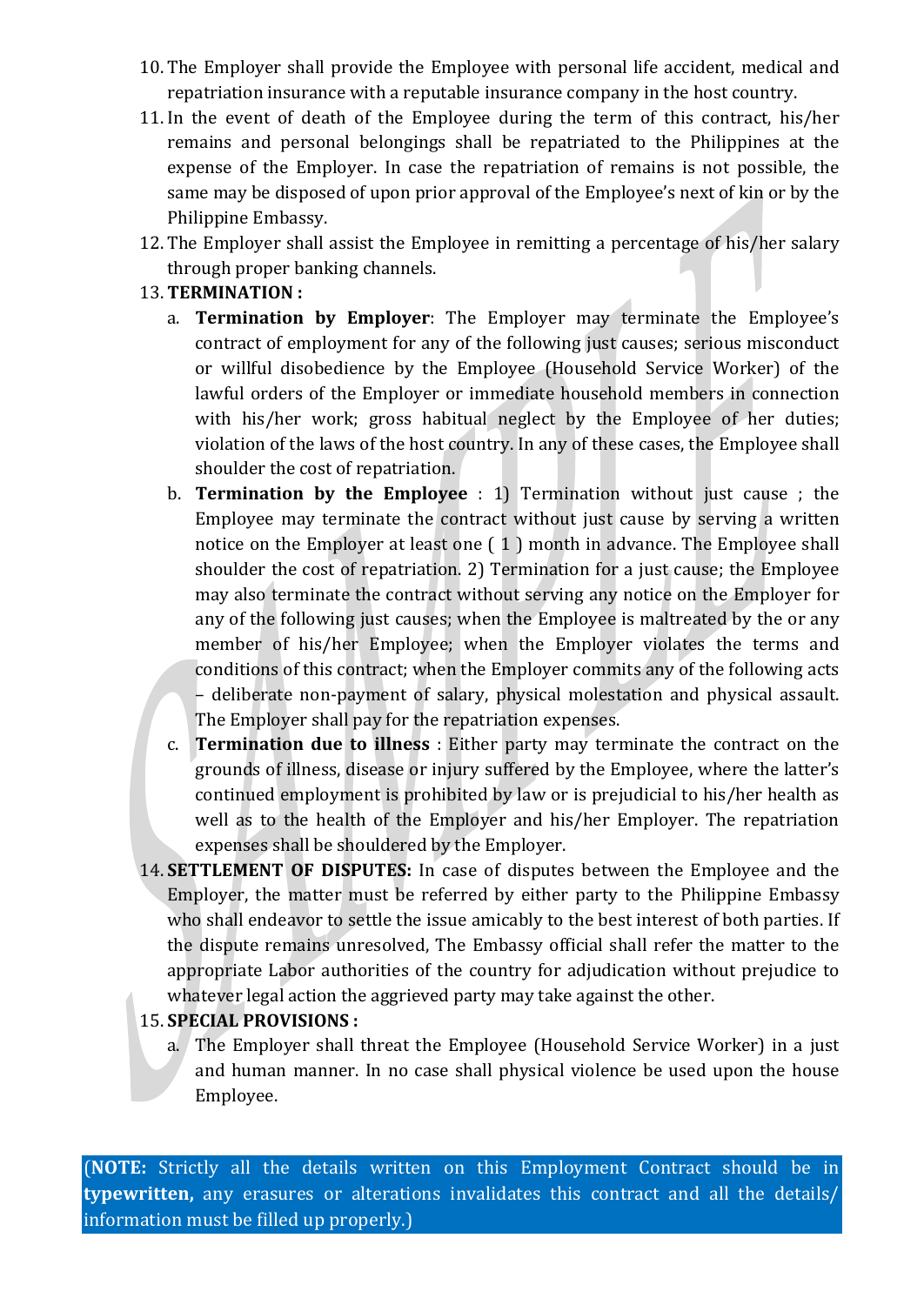- 10. The Employer shall provide the Employee with personal life accident, medical and repatriation insurance with a reputable insurance company in the host country.
- 11. In the event of death of the Employee during the term of this contract, his/her remains and personal belongings shall be repatriated to the Philippines at the expense of the Employer. In case the repatriation of remains is not possible, the same may be disposed of upon prior approval of the Employee's next of kin or by the Philippine Embassy.
- 12. The Employer shall assist the Employee in remitting a percentage of his/her salary through proper banking channels.

### 13. **TERMINATION :**

- a. **Termination by Employer**: The Employer may terminate the Employee's contract of employment for any of the following just causes; serious misconduct or willful disobedience by the Employee (Household Service Worker) of the lawful orders of the Employer or immediate household members in connection with his/her work; gross habitual neglect by the Employee of her duties; violation of the laws of the host country. In any of these cases, the Employee shall shoulder the cost of repatriation.
- b. **Termination by the Employee** : 1) Termination without just cause ; the Employee may terminate the contract without just cause by serving a written notice on the Employer at least one ( 1 ) month in advance. The Employee shall shoulder the cost of repatriation. 2) Termination for a just cause; the Employee may also terminate the contract without serving any notice on the Employer for any of the following just causes; when the Employee is maltreated by the or any member of his/her Employee; when the Employer violates the terms and conditions of this contract; when the Employer commits any of the following acts – deliberate non-payment of salary, physical molestation and physical assault.
- The Employer shall pay for the repatriation expenses. c. **Termination due to illness** : Either party may terminate the contract on the grounds of illness, disease or injury suffered by the Employee, where the latter's continued employment is prohibited by law or is prejudicial to his/her health as well as to the health of the Employer and his/her Employer. The repatriation expenses shall be shouldered by the Employer.
- 14. **SETTLEMENT OF DISPUTES:** In case of disputes between the Employee and the Employer, the matter must be referred by either party to the Philippine Embassy who shall endeavor to settle the issue amicably to the best interest of both parties. If the dispute remains unresolved, The Embassy official shall refer the matter to the appropriate Labor authorities of the country for adjudication without prejudice to whatever legal action the aggrieved party may take against the other.

### 15. **SPECIAL PROVISIONS :**

a. The Employer shall threat the Employee (Household Service Worker) in a just and human manner. In no case shall physical violence be used upon the house Employee.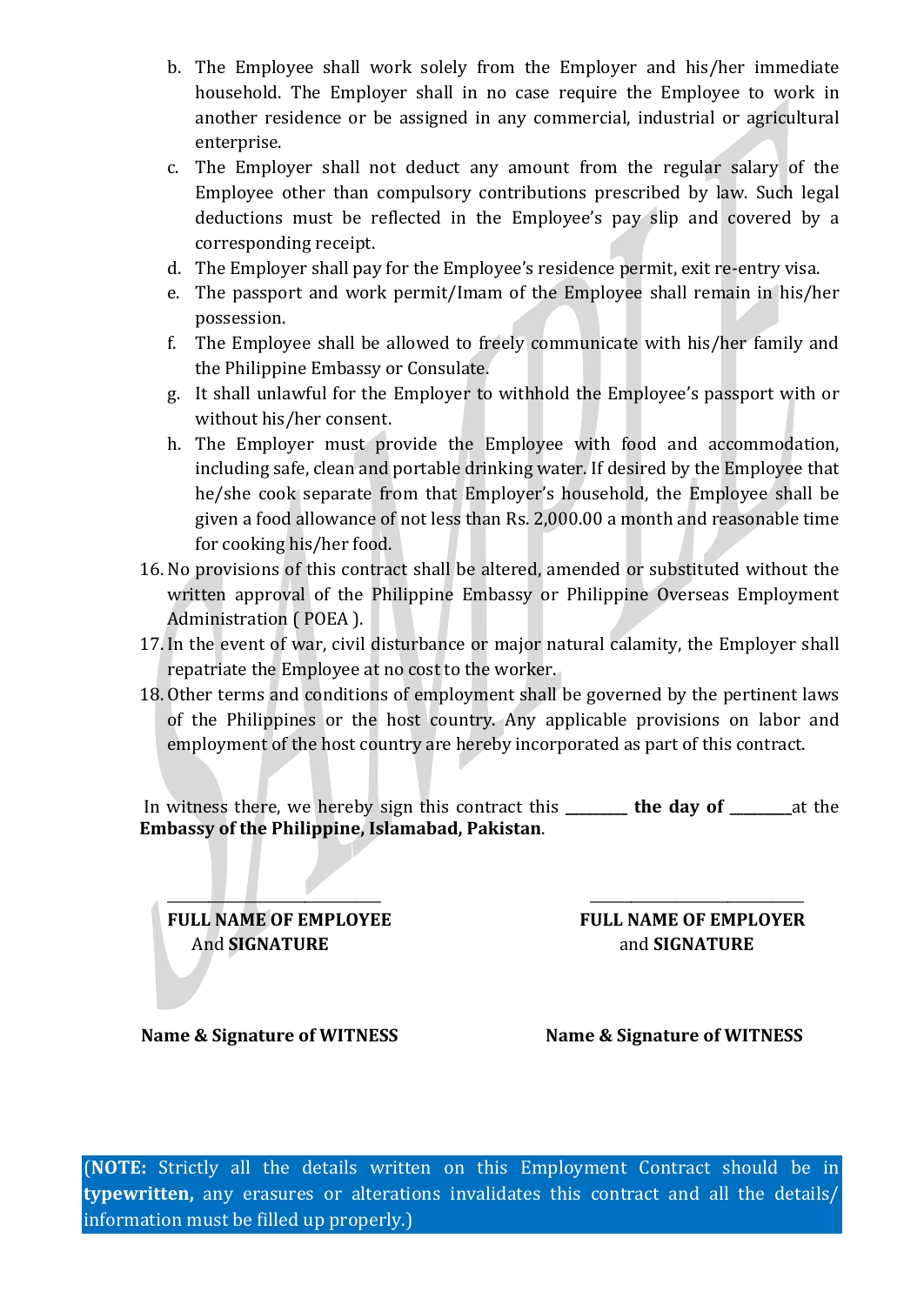- b. The Employee shall work solely from the Employer and his/her immediate household. The Employer shall in no case require the Employee to work in another residence or be assigned in any commercial, industrial or agricultural enterprise.
- c. The Employer shall not deduct any amount from the regular salary of the Employee other than compulsory contributions prescribed by law. Such legal deductions must be reflected in the Employee's pay slip and covered by a corresponding receipt.
- d. The Employer shall pay for the Employee's residence permit, exit re-entry visa.
- e. The passport and work permit/Imam of the Employee shall remain in his/her possession.
- f. The Employee shall be allowed to freely communicate with his/her family and the Philippine Embassy or Consulate.
- g. It shall unlawful for the Employer to withhold the Employee's passport with or without his/her consent.
- h. The Employer must provide the Employee with food and accommodation, including safe, clean and portable drinking water. If desired by the Employee that he/she cook separate from that Employer's household, the Employee shall be given a food allowance of not less than Rs. 2,000.00 a month and reasonable time for cooking his/her food.
- 16. No provisions of this contract shall be altered, amended or substituted without the written approval of the Philippine Embassy or Philippine Overseas Employment Administration ( POEA ).
- 17. In the event of war, civil disturbance or major natural calamity, the Employer shall repatriate the Employee at no cost to the worker.
- 18. Other terms and conditions of employment shall be governed by the pertinent laws of the Philippines or the host country. Any applicable provisions on labor and employment of the host country are hereby incorporated as part of this contract.

In witness there, we hereby sign this contract this **\_\_\_\_\_\_\_\_\_ the day of \_\_\_\_\_\_\_\_\_**at the **Embassy of the Philippine, Islamabad, Pakistan**.

\_\_\_\_\_\_\_\_\_\_\_\_\_\_\_\_\_\_\_\_\_\_\_\_\_\_\_\_\_\_\_ \_\_\_\_\_\_\_\_\_\_\_\_\_\_\_\_\_\_\_\_\_\_\_\_\_\_\_\_\_\_\_ **FULL NAME OF EMPLOYEE FULL NAME OF EMPLOYER** And **SIGNATURE** and **SIGNATURE** 

**Name & Signature of WITNESS** Name & Signature of WITNESS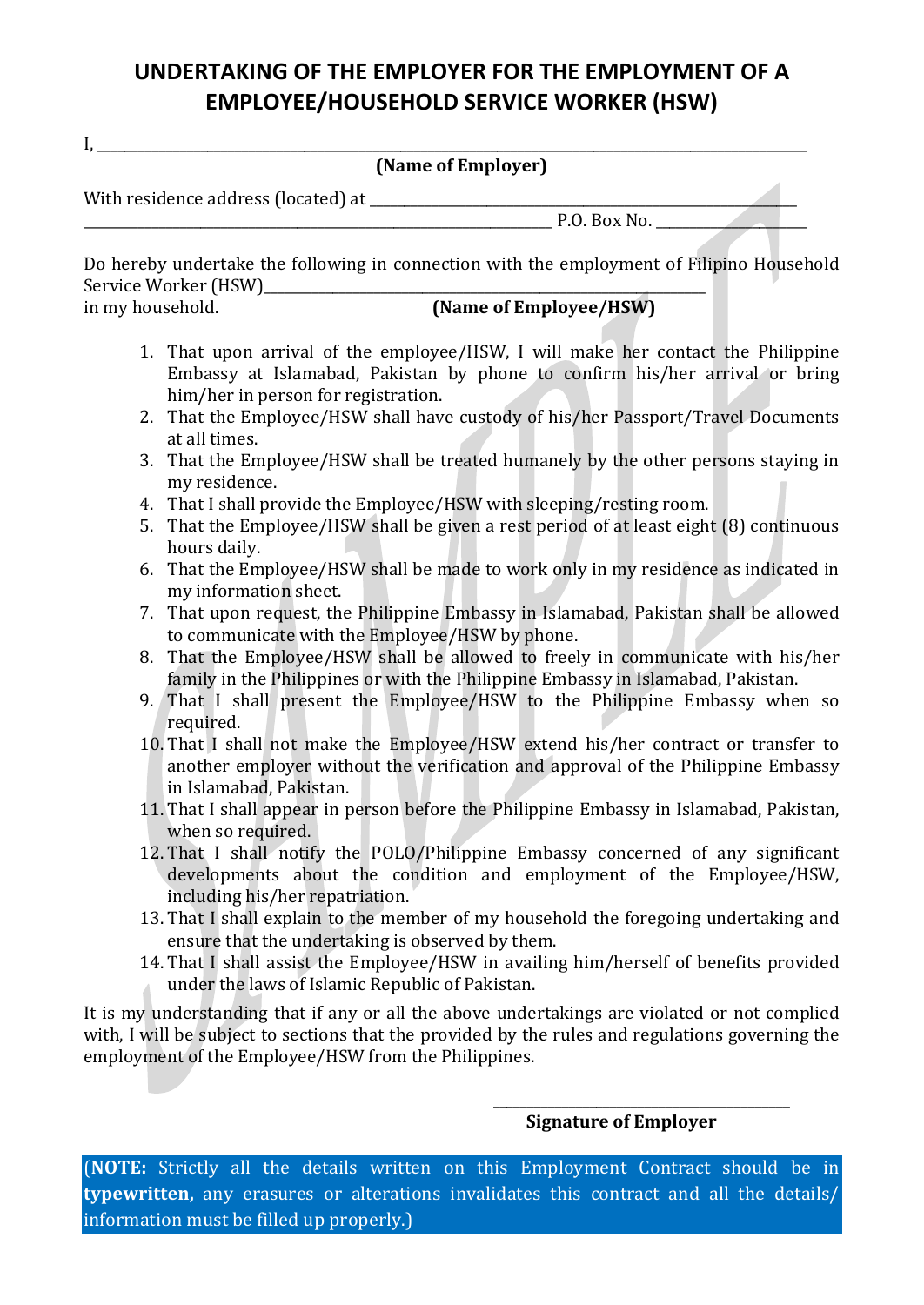## **UNDERTAKING OF THE EMPLOYER FOR THE EMPLOYMENT OF A EMPLOYEE/HOUSEHOLD SERVICE WORKER (HSW)**

| (Name of Employer) |  |
|--------------------|--|
|                    |  |

With residence address (located) at \_\_\_\_\_\_\_\_\_\_\_\_\_\_\_\_\_\_\_\_\_\_\_\_\_\_\_\_\_\_\_\_\_\_\_\_\_\_\_\_\_\_\_\_\_\_\_\_\_\_\_\_\_\_\_\_\_\_\_\_\_\_

 $\mathbf{I}_{\bullet}$ 

\_\_\_\_\_\_\_\_\_\_\_\_\_\_\_\_\_\_\_\_\_\_\_\_\_\_\_\_\_\_\_\_\_\_\_\_\_\_\_\_\_\_\_\_\_\_\_\_\_\_\_\_\_\_\_\_\_\_\_\_\_\_\_\_\_\_\_\_ P.O. Box No. \_\_\_\_\_\_\_\_\_\_\_\_\_\_\_\_\_\_\_\_\_\_

Do hereby undertake the following in connection with the employment of Filipino Household Service Worker (HSW)\_\_\_\_\_\_\_\_\_\_\_\_\_\_\_\_\_\_\_\_\_\_\_\_\_\_\_\_\_\_\_\_\_\_\_\_\_\_\_\_\_\_\_\_\_\_\_\_\_\_\_\_\_\_\_\_\_\_\_\_\_\_\_\_

## **(Name of Employee/HSW)**

- 1. That upon arrival of the employee/HSW, I will make her contact the Philippine Embassy at Islamabad, Pakistan by phone to confirm his/her arrival or bring him/her in person for registration.
- 2. That the Employee/HSW shall have custody of his/her Passport/Travel Documents at all times.
- 3. That the Employee/HSW shall be treated humanely by the other persons staying in my residence.
- 4. That I shall provide the Employee/HSW with sleeping/resting room.
- 5. That the Employee/HSW shall be given a rest period of at least eight (8) continuous hours daily.
- 6. That the Employee/HSW shall be made to work only in my residence as indicated in my information sheet.
- 7. That upon request, the Philippine Embassy in Islamabad, Pakistan shall be allowed to communicate with the Employee/HSW by phone.
- 8. That the Employee/HSW shall be allowed to freely in communicate with his/her family in the Philippines or with the Philippine Embassy in Islamabad, Pakistan.
- 9. That I shall present the Employee/HSW to the Philippine Embassy when so required.
- 10. That I shall not make the Employee/HSW extend his/her contract or transfer to another employer without the verification and approval of the Philippine Embassy in Islamabad, Pakistan.
- 11. That I shall appear in person before the Philippine Embassy in Islamabad, Pakistan, when so required.
- 12. That I shall notify the POLO/Philippine Embassy concerned of any significant developments about the condition and employment of the Employee/HSW, including his/her repatriation.
- 13. That I shall explain to the member of my household the foregoing undertaking and ensure that the undertaking is observed by them.
- 14. That I shall assist the Employee/HSW in availing him/herself of benefits provided under the laws of Islamic Republic of Pakistan.

It is my understanding that if any or all the above undertakings are violated or not complied with, I will be subject to sections that the provided by the rules and regulations governing the employment of the Employee/HSW from the Philippines.

#### $\overline{\phantom{a}}$  ,  $\overline{\phantom{a}}$  ,  $\overline{\phantom{a}}$  ,  $\overline{\phantom{a}}$  ,  $\overline{\phantom{a}}$  ,  $\overline{\phantom{a}}$  ,  $\overline{\phantom{a}}$  ,  $\overline{\phantom{a}}$  ,  $\overline{\phantom{a}}$  ,  $\overline{\phantom{a}}$  ,  $\overline{\phantom{a}}$  ,  $\overline{\phantom{a}}$  ,  $\overline{\phantom{a}}$  ,  $\overline{\phantom{a}}$  ,  $\overline{\phantom{a}}$  ,  $\overline{\phantom{a}}$  **Signature of Employer**